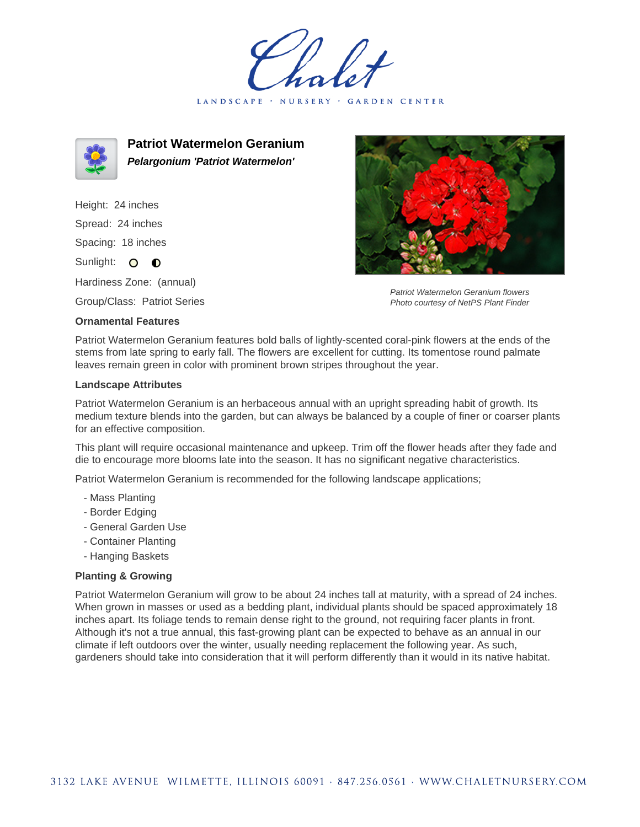LANDSCAPE · NURSERY · GARDEN CENTER



**Patriot Watermelon Geranium Pelargonium 'Patriot Watermelon'**

Height: 24 inches Spread: 24 inches Spacing: 18 inches Sunlight: O **O** 

Hardiness Zone: (annual)

Group/Class: Patriot Series

## **Ornamental Features**



Patriot Watermelon Geranium flowers Photo courtesy of NetPS Plant Finder

Patriot Watermelon Geranium features bold balls of lightly-scented coral-pink flowers at the ends of the stems from late spring to early fall. The flowers are excellent for cutting. Its tomentose round palmate leaves remain green in color with prominent brown stripes throughout the year.

## **Landscape Attributes**

Patriot Watermelon Geranium is an herbaceous annual with an upright spreading habit of growth. Its medium texture blends into the garden, but can always be balanced by a couple of finer or coarser plants for an effective composition.

This plant will require occasional maintenance and upkeep. Trim off the flower heads after they fade and die to encourage more blooms late into the season. It has no significant negative characteristics.

Patriot Watermelon Geranium is recommended for the following landscape applications;

- Mass Planting
- Border Edging
- General Garden Use
- Container Planting
- Hanging Baskets

## **Planting & Growing**

Patriot Watermelon Geranium will grow to be about 24 inches tall at maturity, with a spread of 24 inches. When grown in masses or used as a bedding plant, individual plants should be spaced approximately 18 inches apart. Its foliage tends to remain dense right to the ground, not requiring facer plants in front. Although it's not a true annual, this fast-growing plant can be expected to behave as an annual in our climate if left outdoors over the winter, usually needing replacement the following year. As such, gardeners should take into consideration that it will perform differently than it would in its native habitat.